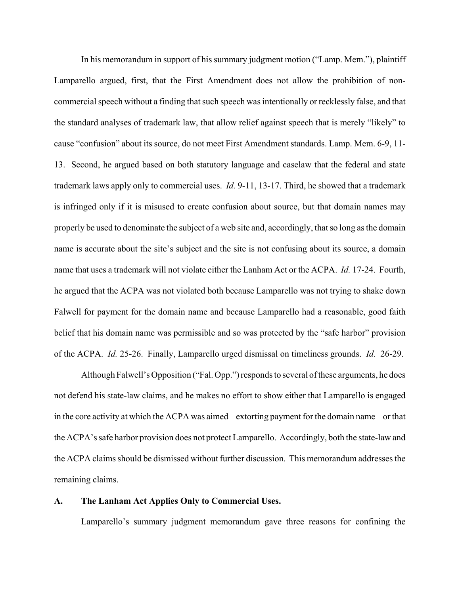In his memorandum in support of his summary judgment motion ("Lamp. Mem."), plaintiff Lamparello argued, first, that the First Amendment does not allow the prohibition of noncommercial speech without a finding that such speech was intentionally or recklessly false, and that the standard analyses of trademark law, that allow relief against speech that is merely "likely" to cause "confusion" about its source, do not meet First Amendment standards. Lamp. Mem. 6-9, 11- 13. Second, he argued based on both statutory language and caselaw that the federal and state trademark laws apply only to commercial uses. *Id.* 9-11, 13-17. Third, he showed that a trademark is infringed only if it is misused to create confusion about source, but that domain names may properly be used to denominate the subject of a web site and, accordingly, that so long as the domain name is accurate about the site's subject and the site is not confusing about its source, a domain name that uses a trademark will not violate either the Lanham Act or the ACPA. *Id.* 17-24. Fourth, he argued that the ACPA was not violated both because Lamparello was not trying to shake down Falwell for payment for the domain name and because Lamparello had a reasonable, good faith belief that his domain name was permissible and so was protected by the "safe harbor" provision of the ACPA. *Id.* 25-26. Finally, Lamparello urged dismissal on timeliness grounds. *Id.* 26-29.

Although Falwell's Opposition ("Fal. Opp.") responds to several of these arguments, he does not defend his state-law claims, and he makes no effort to show either that Lamparello is engaged in the core activity at which the ACPA was aimed – extorting payment for the domain name – or that the ACPA's safe harbor provision does not protect Lamparello. Accordingly, both the state-law and the ACPA claims should be dismissed without further discussion. This memorandum addresses the remaining claims.

## **A. The Lanham Act Applies Only to Commercial Uses.**

Lamparello's summary judgment memorandum gave three reasons for confining the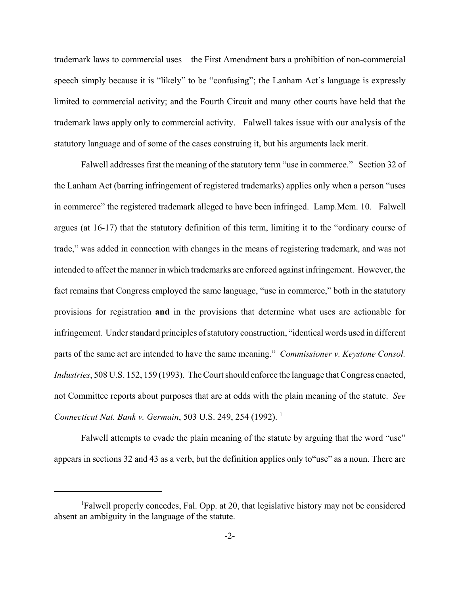trademark laws to commercial uses – the First Amendment bars a prohibition of non-commercial speech simply because it is "likely" to be "confusing"; the Lanham Act's language is expressly limited to commercial activity; and the Fourth Circuit and many other courts have held that the trademark laws apply only to commercial activity. Falwell takes issue with our analysis of the statutory language and of some of the cases construing it, but his arguments lack merit.

Falwell addresses first the meaning of the statutory term "use in commerce." Section 32 of the Lanham Act (barring infringement of registered trademarks) applies only when a person "uses in commerce" the registered trademark alleged to have been infringed. Lamp.Mem. 10. Falwell argues (at 16-17) that the statutory definition of this term, limiting it to the "ordinary course of trade," was added in connection with changes in the means of registering trademark, and was not intended to affect the manner in which trademarks are enforced against infringement. However, the fact remains that Congress employed the same language, "use in commerce," both in the statutory provisions for registration **and** in the provisions that determine what uses are actionable for infringement. Under standard principles of statutory construction, "identical words used in different parts of the same act are intended to have the same meaning." *Commissioner v. Keystone Consol. Industries*, 508 U.S. 152, 159 (1993). The Court should enforce the language that Congress enacted, not Committee reports about purposes that are at odds with the plain meaning of the statute. *See Connecticut Nat. Bank v. Germain,* 503 U.S. 249, 254 (1992).<sup>1</sup>

Falwell attempts to evade the plain meaning of the statute by arguing that the word "use" appears in sections 32 and 43 as a verb, but the definition applies only to"use" as a noun. There are

<sup>1</sup> Falwell properly concedes, Fal. Opp. at 20, that legislative history may not be considered absent an ambiguity in the language of the statute.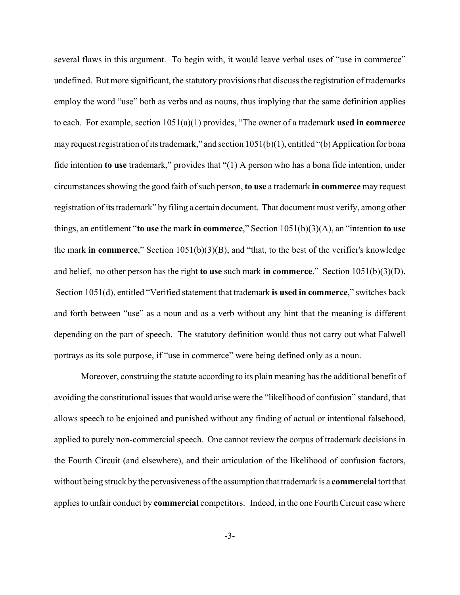several flaws in this argument. To begin with, it would leave verbal uses of "use in commerce" undefined. But more significant, the statutory provisions that discuss the registration of trademarks employ the word "use" both as verbs and as nouns, thus implying that the same definition applies to each. For example, section 1051(a)(1) provides, "The owner of a trademark **used in commerce** may request registration of its trademark," and section  $1051(b)(1)$ , entitled "(b) Application for bona fide intention **to use** trademark," provides that "(1) A person who has a bona fide intention, under circumstances showing the good faith of such person, **to use** a trademark **in commerce** may request registration of its trademark" by filing a certain document. That document must verify, among other things, an entitlement "**to use** the mark **in commerce**," Section 1051(b)(3)(A), an "intention **to use** the mark **in commerce**," Section 1051(b)(3)(B), and "that, to the best of the verifier's knowledge and belief, no other person has the right **to use** such mark **in commerce**." Section 1051(b)(3)(D). Section 1051(d), entitled "Verified statement that trademark **is used in commerce**," switches back and forth between "use" as a noun and as a verb without any hint that the meaning is different depending on the part of speech. The statutory definition would thus not carry out what Falwell portrays as its sole purpose, if "use in commerce" were being defined only as a noun.

Moreover, construing the statute according to its plain meaning has the additional benefit of avoiding the constitutional issues that would arise were the "likelihood of confusion" standard, that allows speech to be enjoined and punished without any finding of actual or intentional falsehood, applied to purely non-commercial speech. One cannot review the corpus of trademark decisions in the Fourth Circuit (and elsewhere), and their articulation of the likelihood of confusion factors, without being struck by the pervasiveness of the assumption that trademark is a **commercial** tort that applies to unfair conduct by **commercial** competitors. Indeed, in the one Fourth Circuit case where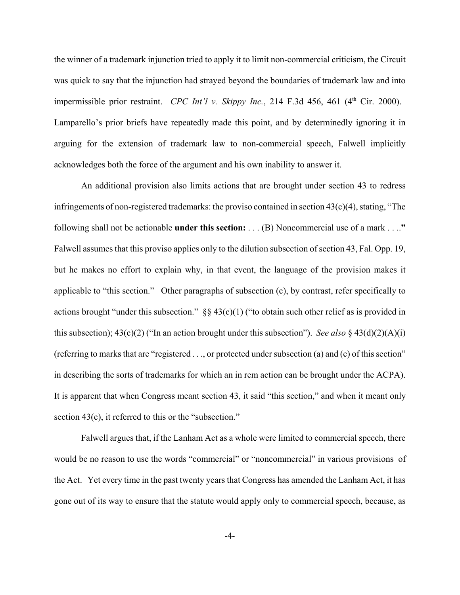the winner of a trademark injunction tried to apply it to limit non-commercial criticism, the Circuit was quick to say that the injunction had strayed beyond the boundaries of trademark law and into impermissible prior restraint. *CPC Int'l v. Skippy Inc.*, 214 F.3d 456, 461 (4<sup>th</sup> Cir. 2000). Lamparello's prior briefs have repeatedly made this point, and by determinedly ignoring it in arguing for the extension of trademark law to non-commercial speech, Falwell implicitly acknowledges both the force of the argument and his own inability to answer it.

An additional provision also limits actions that are brought under section 43 to redress infringements of non-registered trademarks: the proviso contained in section  $43(c)(4)$ , stating, "The following shall not be actionable **under this section:** . . . (B) Noncommercial use of a mark . . ..**"** Falwell assumes that this proviso applies only to the dilution subsection of section 43, Fal. Opp. 19, but he makes no effort to explain why, in that event, the language of the provision makes it applicable to "this section." Other paragraphs of subsection (c), by contrast, refer specifically to actions brought "under this subsection."  $\S$  43(c)(1) ("to obtain such other relief as is provided in this subsection); 43(c)(2) ("In an action brought under this subsection"). *See also* § 43(d)(2)(A)(i) (referring to marks that are "registered . . ., or protected under subsection (a) and (c) of this section" in describing the sorts of trademarks for which an in rem action can be brought under the ACPA). It is apparent that when Congress meant section 43, it said "this section," and when it meant only section 43(c), it referred to this or the "subsection."

Falwell argues that, if the Lanham Act as a whole were limited to commercial speech, there would be no reason to use the words "commercial" or "noncommercial" in various provisions of the Act. Yet every time in the past twenty years that Congress has amended the Lanham Act, it has gone out of its way to ensure that the statute would apply only to commercial speech, because, as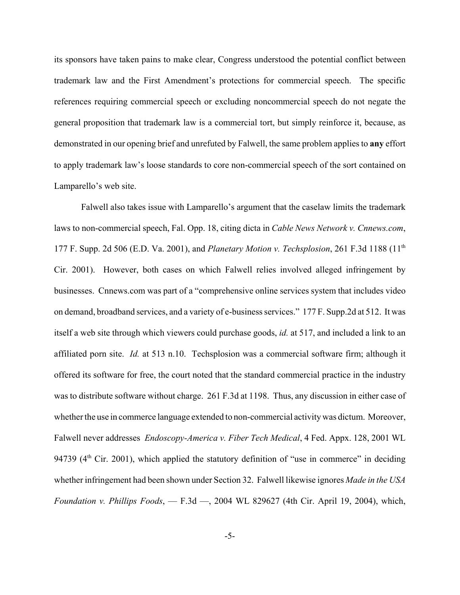its sponsors have taken pains to make clear, Congress understood the potential conflict between trademark law and the First Amendment's protections for commercial speech. The specific references requiring commercial speech or excluding noncommercial speech do not negate the general proposition that trademark law is a commercial tort, but simply reinforce it, because, as demonstrated in our opening brief and unrefuted by Falwell, the same problem applies to **any** effort to apply trademark law's loose standards to core non-commercial speech of the sort contained on Lamparello's web site.

Falwell also takes issue with Lamparello's argument that the caselaw limits the trademark laws to non-commercial speech, Fal. Opp. 18, citing dicta in *Cable News Network v. Cnnews.com*, 177 F. Supp. 2d 506 (E.D. Va. 2001), and *Planetary Motion v. Techsplosion*, 261 F.3d 1188 (11th Cir. 2001). However, both cases on which Falwell relies involved alleged infringement by businesses. Cnnews.com was part of a "comprehensive online services system that includes video on demand, broadband services, and a variety of e-business services." 177 F. Supp.2d at 512. It was itself a web site through which viewers could purchase goods, *id.* at 517, and included a link to an affiliated porn site. *Id.* at 513 n.10. Techsplosion was a commercial software firm; although it offered its software for free, the court noted that the standard commercial practice in the industry was to distribute software without charge. 261 F.3d at 1198. Thus, any discussion in either case of whether the use in commerce language extended to non-commercial activity was dictum. Moreover, Falwell never addresses *Endoscopy-America v. Fiber Tech Medical*, 4 Fed. Appx. 128, 2001 WL 94739 ( $4<sup>th</sup>$  Cir. 2001), which applied the statutory definition of "use in commerce" in deciding whether infringement had been shown under Section 32. Falwell likewise ignores *Made in the USA Foundation v. Phillips Foods*, — F.3d —, 2004 WL 829627 (4th Cir. April 19, 2004), which,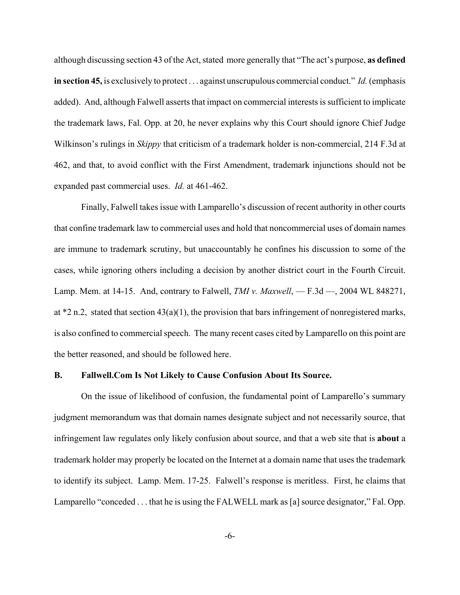although discussing section 43 of the Act, stated more generally that "The act's purpose, **as defined in section 45,** is exclusively to protect . . . against unscrupulous commercial conduct." *Id.* (emphasis added). And, although Falwell asserts that impact on commercial interests is sufficient to implicate the trademark laws, Fal. Opp. at 20, he never explains why this Court should ignore Chief Judge Wilkinson's rulings in *Skippy* that criticism of a trademark holder is non-commercial, 214 F.3d at 462, and that, to avoid conflict with the First Amendment, trademark injunctions should not be expanded past commercial uses. *Id.* at 461-462.

Finally, Falwell takes issue with Lamparello's discussion of recent authority in other courts that confine trademark law to commercial uses and hold that noncommercial uses of domain names are immune to trademark scrutiny, but unaccountably he confines his discussion to some of the cases, while ignoring others including a decision by another district court in the Fourth Circuit. Lamp. Mem. at 14-15. And, contrary to Falwell, *TMI v. Maxwell*, — F.3d —, 2004 WL 848271, at  $*2$  n.2, stated that section  $43(a)(1)$ , the provision that bars infringement of nonregistered marks, is also confined to commercial speech. The many recent cases cited by Lamparello on this point are the better reasoned, and should be followed here.

## **B. Fallwell.Com Is Not Likely to Cause Confusion About Its Source.**

On the issue of likelihood of confusion, the fundamental point of Lamparello's summary judgment memorandum was that domain names designate subject and not necessarily source, that infringement law regulates only likely confusion about source, and that a web site that is **about** a trademark holder may properly be located on the Internet at a domain name that uses the trademark to identify its subject. Lamp. Mem. 17-25. Falwell's response is meritless. First, he claims that Lamparello "conceded . . . that he is using the FALWELL mark as [a] source designator," Fal. Opp.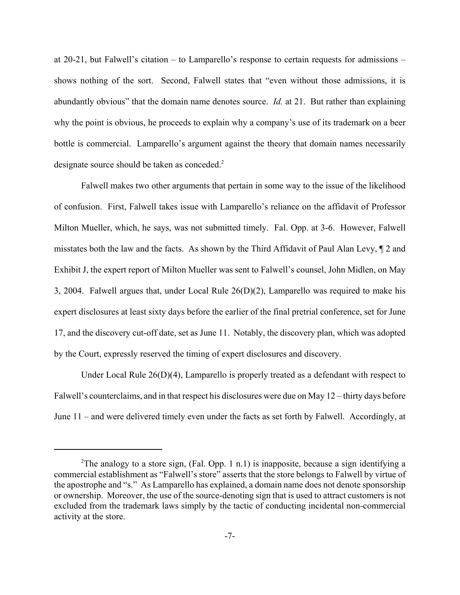at 20-21, but Falwell's citation – to Lamparello's response to certain requests for admissions – shows nothing of the sort. Second, Falwell states that "even without those admissions, it is abundantly obvious" that the domain name denotes source. *Id.* at 21. But rather than explaining why the point is obvious, he proceeds to explain why a company's use of its trademark on a beer bottle is commercial. Lamparello's argument against the theory that domain names necessarily designate source should be taken as conceded.<sup>2</sup>

Falwell makes two other arguments that pertain in some way to the issue of the likelihood of confusion. First, Falwell takes issue with Lamparello's reliance on the affidavit of Professor Milton Mueller, which, he says, was not submitted timely. Fal. Opp. at 3-6. However, Falwell misstates both the law and the facts. As shown by the Third Affidavit of Paul Alan Levy, ¶ 2 and Exhibit J, the expert report of Milton Mueller was sent to Falwell's counsel, John Midlen, on May 3, 2004. Falwell argues that, under Local Rule 26(D)(2), Lamparello was required to make his expert disclosures at least sixty days before the earlier of the final pretrial conference, set for June 17, and the discovery cut-off date, set as June 11. Notably, the discovery plan, which was adopted by the Court, expressly reserved the timing of expert disclosures and discovery.

Under Local Rule 26(D)(4), Lamparello is properly treated as a defendant with respect to Falwell's counterclaims, and in that respect his disclosures were due on May 12 – thirty days before June 11 – and were delivered timely even under the facts as set forth by Falwell. Accordingly, at

<sup>&</sup>lt;sup>2</sup>The analogy to a store sign, (Fal. Opp. 1 n.1) is inapposite, because a sign identifying a commercial establishment as "Falwell's store" asserts that the store belongs to Falwell by virtue of the apostrophe and "s." As Lamparello has explained, a domain name does not denote sponsorship or ownership. Moreover, the use of the source-denoting sign that is used to attract customers is not excluded from the trademark laws simply by the tactic of conducting incidental non-commercial activity at the store.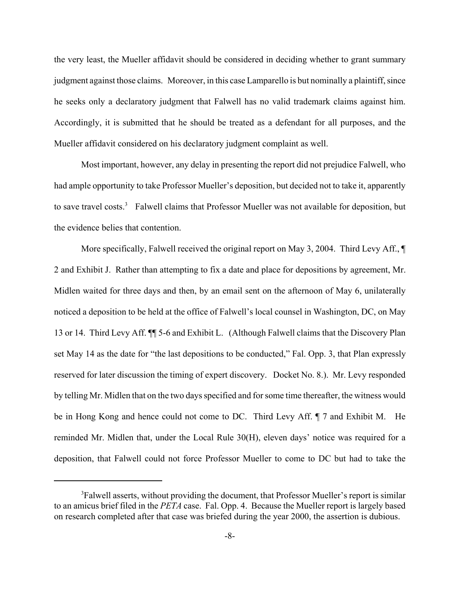the very least, the Mueller affidavit should be considered in deciding whether to grant summary judgment against those claims. Moreover, in this case Lamparello is but nominally a plaintiff, since he seeks only a declaratory judgment that Falwell has no valid trademark claims against him. Accordingly, it is submitted that he should be treated as a defendant for all purposes, and the Mueller affidavit considered on his declaratory judgment complaint as well.

Most important, however, any delay in presenting the report did not prejudice Falwell, who had ample opportunity to take Professor Mueller's deposition, but decided not to take it, apparently to save travel costs.<sup>3</sup> Falwell claims that Professor Mueller was not available for deposition, but the evidence belies that contention.

More specifically, Falwell received the original report on May 3, 2004. Third Levy Aff.,  $\P$ 2 and Exhibit J. Rather than attempting to fix a date and place for depositions by agreement, Mr. Midlen waited for three days and then, by an email sent on the afternoon of May 6, unilaterally noticed a deposition to be held at the office of Falwell's local counsel in Washington, DC, on May 13 or 14. Third Levy Aff. ¶¶ 5-6 and Exhibit L. (Although Falwell claims that the Discovery Plan set May 14 as the date for "the last depositions to be conducted," Fal. Opp. 3, that Plan expressly reserved for later discussion the timing of expert discovery. Docket No. 8.). Mr. Levy responded by telling Mr. Midlen that on the two days specified and for some time thereafter, the witness would be in Hong Kong and hence could not come to DC. Third Levy Aff. ¶ 7 and Exhibit M. He reminded Mr. Midlen that, under the Local Rule 30(H), eleven days' notice was required for a deposition, that Falwell could not force Professor Mueller to come to DC but had to take the

<sup>&</sup>lt;sup>3</sup>Falwell asserts, without providing the document, that Professor Mueller's report is similar to an amicus brief filed in the *PETA* case. Fal. Opp. 4. Because the Mueller report is largely based on research completed after that case was briefed during the year 2000, the assertion is dubious.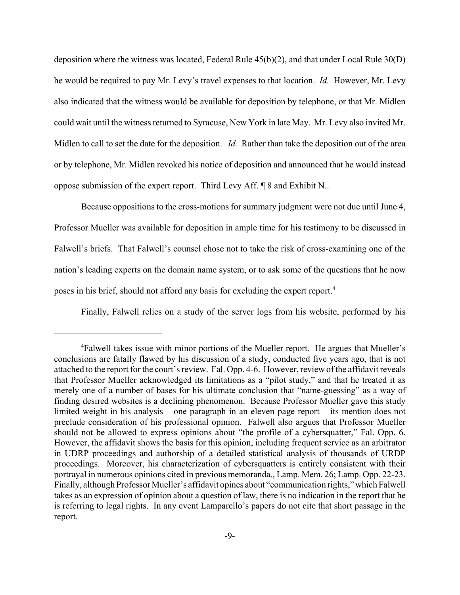deposition where the witness was located, Federal Rule 45(b)(2), and that under Local Rule 30(D) he would be required to pay Mr. Levy's travel expenses to that location. *Id.* However, Mr. Levy also indicated that the witness would be available for deposition by telephone, or that Mr. Midlen could wait until the witness returned to Syracuse, New York in late May. Mr. Levy also invited Mr. Midlen to call to set the date for the deposition. *Id.* Rather than take the deposition out of the area or by telephone, Mr. Midlen revoked his notice of deposition and announced that he would instead oppose submission of the expert report. Third Levy Aff. ¶ 8 and Exhibit N..

Because oppositions to the cross-motions for summary judgment were not due until June 4, Professor Mueller was available for deposition in ample time for his testimony to be discussed in Falwell's briefs. That Falwell's counsel chose not to take the risk of cross-examining one of the nation's leading experts on the domain name system, or to ask some of the questions that he now poses in his brief, should not afford any basis for excluding the expert report.4

Finally, Falwell relies on a study of the server logs from his website, performed by his

<sup>&</sup>lt;sup>4</sup>Falwell takes issue with minor portions of the Mueller report. He argues that Mueller's conclusions are fatally flawed by his discussion of a study, conducted five years ago, that is not attached to the report for the court's review. Fal. Opp. 4-6. However, review of the affidavit reveals that Professor Mueller acknowledged its limitations as a "pilot study," and that he treated it as merely one of a number of bases for his ultimate conclusion that "name-guessing" as a way of finding desired websites is a declining phenomenon. Because Professor Mueller gave this study limited weight in his analysis – one paragraph in an eleven page report – its mention does not preclude consideration of his professional opinion. Falwell also argues that Professor Mueller should not be allowed to express opinions about "the profile of a cybersquatter," Fal. Opp. 6. However, the affidavit shows the basis for this opinion, including frequent service as an arbitrator in UDRP proceedings and authorship of a detailed statistical analysis of thousands of URDP proceedings. Moreover, his characterization of cybersquatters is entirely consistent with their portrayal in numerous opinions cited in previous memoranda., Lamp. Mem. 26; Lamp. Opp. 22-23. Finally, although Professor Mueller's affidavit opines about "communication rights," which Falwell takes as an expression of opinion about a question of law, there is no indication in the report that he is referring to legal rights. In any event Lamparello's papers do not cite that short passage in the report.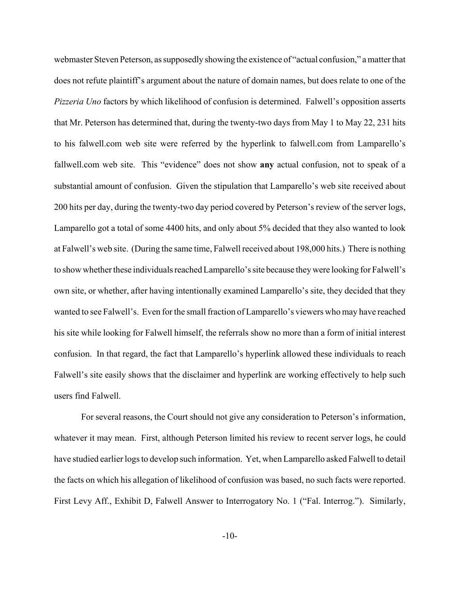webmaster Steven Peterson, as supposedly showing the existence of "actual confusion," a matter that does not refute plaintiff's argument about the nature of domain names, but does relate to one of the *Pizzeria Uno* factors by which likelihood of confusion is determined. Falwell's opposition asserts that Mr. Peterson has determined that, during the twenty-two days from May 1 to May 22, 231 hits to his falwell.com web site were referred by the hyperlink to falwell.com from Lamparello's fallwell.com web site. This "evidence" does not show **any** actual confusion, not to speak of a substantial amount of confusion. Given the stipulation that Lamparello's web site received about 200 hits per day, during the twenty-two day period covered by Peterson's review of the server logs, Lamparello got a total of some 4400 hits, and only about 5% decided that they also wanted to look at Falwell's web site. (During the same time, Falwell received about 198,000 hits.) There is nothing to show whether these individuals reached Lamparello's site because they were looking for Falwell's own site, or whether, after having intentionally examined Lamparello's site, they decided that they wanted to see Falwell's. Even for the small fraction of Lamparello's viewers who may have reached his site while looking for Falwell himself, the referrals show no more than a form of initial interest confusion. In that regard, the fact that Lamparello's hyperlink allowed these individuals to reach Falwell's site easily shows that the disclaimer and hyperlink are working effectively to help such users find Falwell.

For several reasons, the Court should not give any consideration to Peterson's information, whatever it may mean. First, although Peterson limited his review to recent server logs, he could have studied earlier logs to develop such information. Yet, when Lamparello asked Falwell to detail the facts on which his allegation of likelihood of confusion was based, no such facts were reported. First Levy Aff., Exhibit D, Falwell Answer to Interrogatory No. 1 ("Fal. Interrog."). Similarly,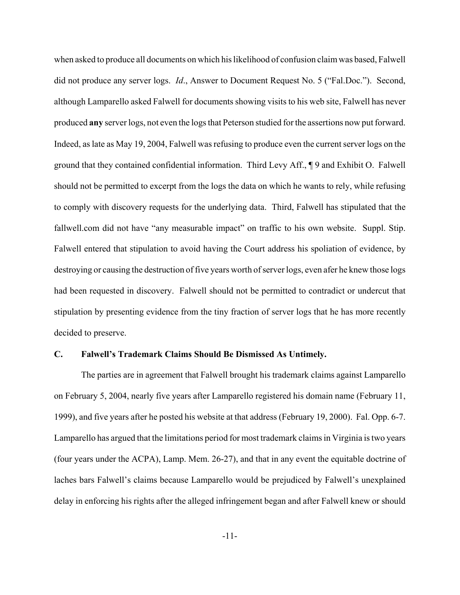when asked to produce all documents on which his likelihood of confusion claim was based, Falwell did not produce any server logs. *Id*., Answer to Document Request No. 5 ("Fal.Doc."). Second, although Lamparello asked Falwell for documents showing visits to his web site, Falwell has never produced **any** server logs, not even the logs that Peterson studied for the assertions now put forward. Indeed, as late as May 19, 2004, Falwell was refusing to produce even the current server logs on the ground that they contained confidential information. Third Levy Aff., ¶ 9 and Exhibit O. Falwell should not be permitted to excerpt from the logs the data on which he wants to rely, while refusing to comply with discovery requests for the underlying data. Third, Falwell has stipulated that the fallwell.com did not have "any measurable impact" on traffic to his own website. Suppl. Stip. Falwell entered that stipulation to avoid having the Court address his spoliation of evidence, by destroying or causing the destruction of five years worth of server logs, even afer he knew those logs had been requested in discovery. Falwell should not be permitted to contradict or undercut that stipulation by presenting evidence from the tiny fraction of server logs that he has more recently decided to preserve.

## **C. Falwell's Trademark Claims Should Be Dismissed As Untimely.**

The parties are in agreement that Falwell brought his trademark claims against Lamparello on February 5, 2004, nearly five years after Lamparello registered his domain name (February 11, 1999), and five years after he posted his website at that address (February 19, 2000). Fal. Opp. 6-7. Lamparello has argued that the limitations period for most trademark claims in Virginia is two years (four years under the ACPA), Lamp. Mem. 26-27), and that in any event the equitable doctrine of laches bars Falwell's claims because Lamparello would be prejudiced by Falwell's unexplained delay in enforcing his rights after the alleged infringement began and after Falwell knew or should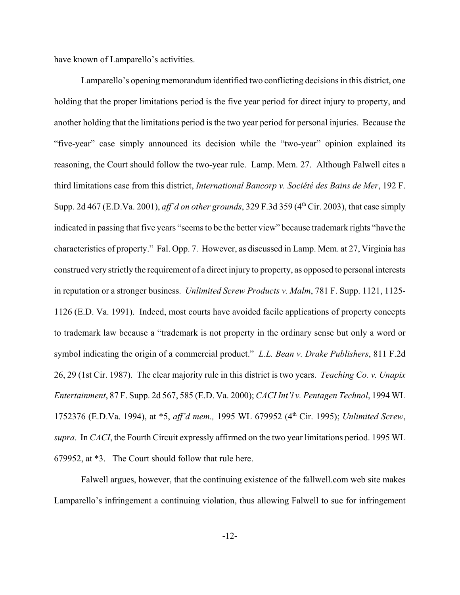have known of Lamparello's activities.

Lamparello's opening memorandum identified two conflicting decisions in this district, one holding that the proper limitations period is the five year period for direct injury to property, and another holding that the limitations period is the two year period for personal injuries. Because the "five-year" case simply announced its decision while the "two-year" opinion explained its reasoning, the Court should follow the two-year rule. Lamp. Mem. 27. Although Falwell cites a third limitations case from this district, *International Bancorp v. Société des Bains de Mer*, 192 F. Supp. 2d 467 (E.D.Va. 2001), *aff'd on other grounds*, 329 F.3d 359 (4th Cir. 2003), that case simply indicated in passing that five years "seems to be the better view" because trademark rights "have the characteristics of property." Fal. Opp. 7. However, as discussed in Lamp. Mem. at 27, Virginia has construed very strictly the requirement of a direct injury to property, as opposed to personal interests in reputation or a stronger business. *Unlimited Screw Products v. Malm*, 781 F. Supp. 1121, 1125- 1126 (E.D. Va. 1991). Indeed, most courts have avoided facile applications of property concepts to trademark law because a "trademark is not property in the ordinary sense but only a word or symbol indicating the origin of a commercial product." *L.L. Bean v. Drake Publishers*, 811 F.2d 26, 29 (1st Cir. 1987). The clear majority rule in this district is two years. *Teaching Co. v. Unapix Entertainment*, 87 F. Supp. 2d 567, 585 (E.D. Va. 2000); *CACI Int'l v. Pentagen Technol*, 1994 WL 1752376 (E.D.Va. 1994), at \*5, *aff'd mem.,* 1995 WL 679952 (4th Cir. 1995); *Unlimited Screw*, *supra*. In *CACI*, the Fourth Circuit expressly affirmed on the two year limitations period. 1995 WL 679952, at \*3. The Court should follow that rule here.

Falwell argues, however, that the continuing existence of the fallwell.com web site makes Lamparello's infringement a continuing violation, thus allowing Falwell to sue for infringement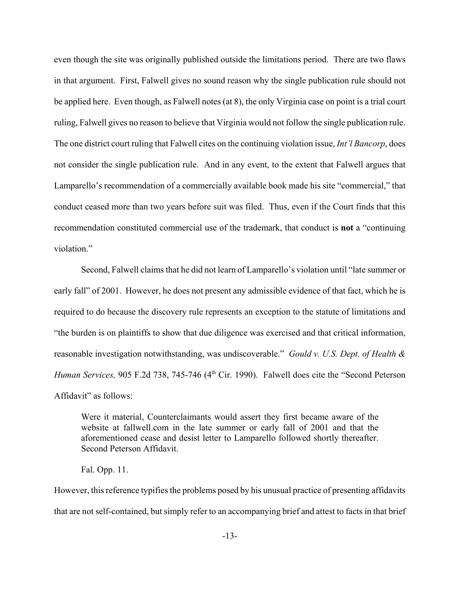even though the site was originally published outside the limitations period. There are two flaws in that argument. First, Falwell gives no sound reason why the single publication rule should not be applied here. Even though, as Falwell notes (at 8), the only Virginia case on point is a trial court ruling, Falwell gives no reason to believe that Virginia would not follow the single publication rule. The one district court ruling that Falwell cites on the continuing violation issue, *Int'l Bancorp*, does not consider the single publication rule. And in any event, to the extent that Falwell argues that Lamparello's recommendation of a commercially available book made his site "commercial," that conduct ceased more than two years before suit was filed. Thus, even if the Court finds that this recommendation constituted commercial use of the trademark, that conduct is **not** a "continuing violation."

Second, Falwell claims that he did not learn of Lamparello's violation until "late summer or early fall" of 2001. However, he does not present any admissible evidence of that fact, which he is required to do because the discovery rule represents an exception to the statute of limitations and "the burden is on plaintiffs to show that due diligence was exercised and that critical information, reasonable investigation notwithstanding, was undiscoverable." *Gould v. U.S. Dept. of Health & Human Services, 905 F.2d 738, 745-746 (4<sup>th</sup> Cir. 1990). Falwell does cite the "Second Peterson* Affidavit" as follows:

Were it material, Counterclaimants would assert they first became aware of the website at fallwell.com in the late summer or early fall of 2001 and that the aforementioned cease and desist letter to Lamparello followed shortly thereafter. Second Peterson Affidavit.

Fal. Opp. 11.

However, this reference typifies the problems posed by his unusual practice of presenting affidavits that are not self-contained, but simply refer to an accompanying brief and attest to facts in that brief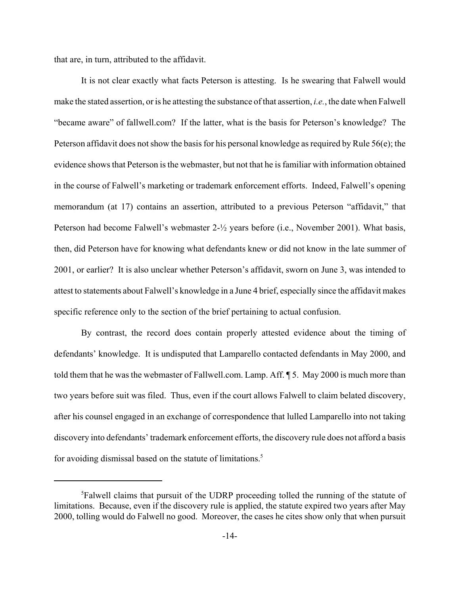that are, in turn, attributed to the affidavit.

It is not clear exactly what facts Peterson is attesting. Is he swearing that Falwell would make the stated assertion, or is he attesting the substance of that assertion, *i.e.*, the date when Falwell "became aware" of fallwell.com? If the latter, what is the basis for Peterson's knowledge? The Peterson affidavit does not show the basis for his personal knowledge as required by Rule 56(e); the evidence shows that Peterson is the webmaster, but not that he is familiar with information obtained in the course of Falwell's marketing or trademark enforcement efforts. Indeed, Falwell's opening memorandum (at 17) contains an assertion, attributed to a previous Peterson "affidavit," that Peterson had become Falwell's webmaster 2-½ years before (i.e., November 2001). What basis, then, did Peterson have for knowing what defendants knew or did not know in the late summer of 2001, or earlier? It is also unclear whether Peterson's affidavit, sworn on June 3, was intended to attest to statements about Falwell's knowledge in a June 4 brief, especially since the affidavit makes specific reference only to the section of the brief pertaining to actual confusion.

By contrast, the record does contain properly attested evidence about the timing of defendants' knowledge. It is undisputed that Lamparello contacted defendants in May 2000, and told them that he was the webmaster of Fallwell.com. Lamp. Aff. ¶ 5. May 2000 is much more than two years before suit was filed. Thus, even if the court allows Falwell to claim belated discovery, after his counsel engaged in an exchange of correspondence that lulled Lamparello into not taking discovery into defendants' trademark enforcement efforts, the discovery rule does not afford a basis for avoiding dismissal based on the statute of limitations.<sup>5</sup>

<sup>5</sup> Falwell claims that pursuit of the UDRP proceeding tolled the running of the statute of limitations. Because, even if the discovery rule is applied, the statute expired two years after May 2000, tolling would do Falwell no good. Moreover, the cases he cites show only that when pursuit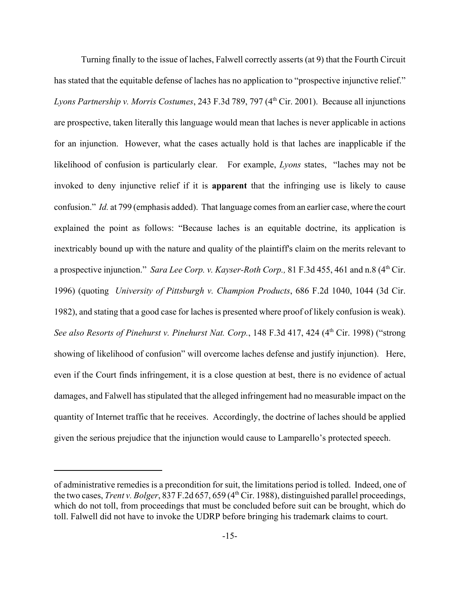Turning finally to the issue of laches, Falwell correctly asserts (at 9) that the Fourth Circuit has stated that the equitable defense of laches has no application to "prospective injunctive relief." *Lyons Partnership v. Morris Costumes*, 243 F.3d 789, 797 (4<sup>th</sup> Cir. 2001). Because all injunctions are prospective, taken literally this language would mean that laches is never applicable in actions for an injunction. However, what the cases actually hold is that laches are inapplicable if the likelihood of confusion is particularly clear. For example, *Lyons* states, "laches may not be invoked to deny injunctive relief if it is **apparent** that the infringing use is likely to cause confusion." *Id.* at 799 (emphasis added). That language comes from an earlier case, where the court explained the point as follows: "Because laches is an equitable doctrine, its application is inextricably bound up with the nature and quality of the plaintiff's claim on the merits relevant to a prospective injunction." *Sara Lee Corp. v. Kayser-Roth Corp.*, 81 F.3d 455, 461 and n.8 (4<sup>th</sup> Cir. 1996) (quoting *University of Pittsburgh v. Champion Products*, 686 F.2d 1040, 1044 (3d Cir. 1982), and stating that a good case for laches is presented where proof of likely confusion is weak). See also Resorts of Pinehurst v. Pinehurst Nat. Corp., 148 F.3d 417, 424 (4<sup>th</sup> Cir. 1998) ("strong showing of likelihood of confusion" will overcome laches defense and justify injunction). Here, even if the Court finds infringement, it is a close question at best, there is no evidence of actual damages, and Falwell has stipulated that the alleged infringement had no measurable impact on the quantity of Internet traffic that he receives. Accordingly, the doctrine of laches should be applied given the serious prejudice that the injunction would cause to Lamparello's protected speech.

of administrative remedies is a precondition for suit, the limitations period is tolled. Indeed, one of the two cases, *Trent v. Bolger*, 837 F.2d 657, 659 (4<sup>th</sup> Cir. 1988), distinguished parallel proceedings, which do not toll, from proceedings that must be concluded before suit can be brought, which do toll. Falwell did not have to invoke the UDRP before bringing his trademark claims to court.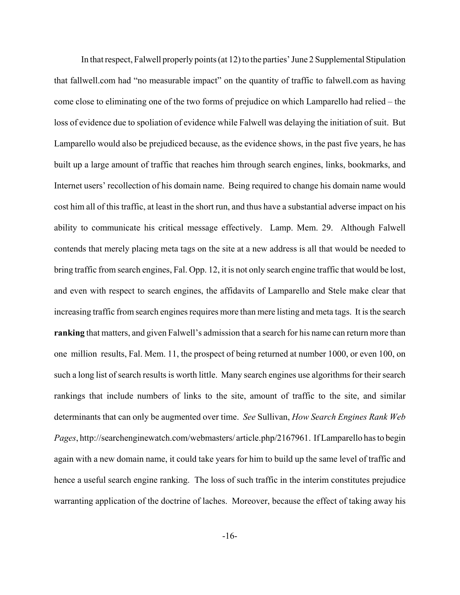In that respect, Falwell properly points (at 12) to the parties' June 2 Supplemental Stipulation that fallwell.com had "no measurable impact" on the quantity of traffic to falwell.com as having come close to eliminating one of the two forms of prejudice on which Lamparello had relied – the loss of evidence due to spoliation of evidence while Falwell was delaying the initiation of suit. But Lamparello would also be prejudiced because, as the evidence shows, in the past five years, he has built up a large amount of traffic that reaches him through search engines, links, bookmarks, and Internet users' recollection of his domain name. Being required to change his domain name would cost him all of this traffic, at least in the short run, and thus have a substantial adverse impact on his ability to communicate his critical message effectively. Lamp. Mem. 29. Although Falwell contends that merely placing meta tags on the site at a new address is all that would be needed to bring traffic from search engines, Fal. Opp. 12, it is not only search engine traffic that would be lost, and even with respect to search engines, the affidavits of Lamparello and Stele make clear that increasing traffic from search engines requires more than mere listing and meta tags. It is the search **ranking** that matters, and given Falwell's admission that a search for his name can return more than one million results, Fal. Mem. 11, the prospect of being returned at number 1000, or even 100, on such a long list of search results is worth little. Many search engines use algorithms for their search rankings that include numbers of links to the site, amount of traffic to the site, and similar determinants that can only be augmented over time. *See* Sullivan, *How Search Engines Rank Web Pages*, http://searchenginewatch.com/webmasters/ article.php/2167961. If Lamparello has to begin again with a new domain name, it could take years for him to build up the same level of traffic and hence a useful search engine ranking. The loss of such traffic in the interim constitutes prejudice warranting application of the doctrine of laches. Moreover, because the effect of taking away his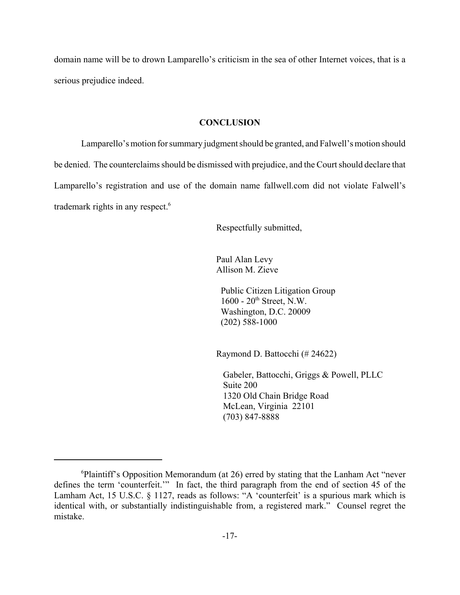domain name will be to drown Lamparello's criticism in the sea of other Internet voices, that is a serious prejudice indeed.

## **CONCLUSION**

Lamparello's motion for summary judgment should be granted, and Falwell's motion should be denied. The counterclaims should be dismissed with prejudice, and the Court should declare that Lamparello's registration and use of the domain name fallwell.com did not violate Falwell's trademark rights in any respect.<sup>6</sup>

Respectfully submitted,

Paul Alan Levy Allison M. Zieve

 Public Citizen Litigation Group 1600 - 20<sup>th</sup> Street, N.W. Washington, D.C. 20009 (202) 588-1000

Raymond D. Battocchi (# 24622)

 Gabeler, Battocchi, Griggs & Powell, PLLC Suite 200 1320 Old Chain Bridge Road McLean, Virginia 22101 (703) 847-8888

<sup>&</sup>lt;sup>6</sup>Plaintiff's Opposition Memorandum (at 26) erred by stating that the Lanham Act "never defines the term 'counterfeit.'" In fact, the third paragraph from the end of section 45 of the Lamham Act, 15 U.S.C. § 1127, reads as follows: "A 'counterfeit' is a spurious mark which is identical with, or substantially indistinguishable from, a registered mark." Counsel regret the mistake.